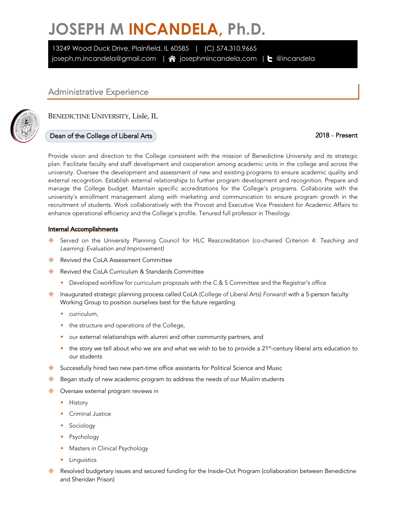# **JOSEPH M INCANDELA, Ph.D.**

13249 Wood Duck Drive, Plainfield, IL 60585 | (C) 574.310.9665 joseph.m.incandela@gmail.com |  $\hat{\mathbf{A}}$  josephmincandela.com |  $\mathbf{t}$  @incandela

### Administrative Experience

BENEDICTINE UNIVERSITY, Lisle, IL

### Dean of the College of Liberal Arts 2018 – Present

Provide vision and direction to the College consistent with the mission of Benedictine University and its strategic plan. Facilitate faculty and staff development and cooperation among academic units in the college and across the university. Oversee the development and assessment of new and existing programs to ensure academic quality and external recognition. Establish external relationships to further program development and recognition. Prepare and manage the College budget. Maintain specific accreditations for the College's programs. Collaborate with the university's enrollment management along with marketing and communication to ensure program growth in the recruitment of students. Work collaboratively with the Provost and Executive Vice President for Academic Affairs to enhance operational efficiency and the College's profile. Tenured full professor in Theology.

### Internal Accomplishments

- ± Served on the University Planning Council for HLC Reaccreditation (co-chaired Criterion 4: *Teaching and Learning: Evaluation and Improvement)*
- ♦ Revived the CoLA Assessment Committee
- ♦ Revived the CoLA Curriculum & Standards Committee
	- Developed workflow for curriculum proposals with the C & S Committee and the Registrar's office
- ± Inaugurated strategic planning process called CoLA (College of Liberal Arts) *Forward!* with a 5-person faculty Working Group to position ourselves best for the future regarding
	- $\bullet$  curriculum,
	- $\bullet$  the structure and operations of the College,
	- our external relationships with alumni and other community partners, and
	- $*$  the story we tell about who we are and what we wish to be to provide a 21<sup>st</sup>-century liberal arts education to our students
- $\diamondsuit$  Successfully hired two new part-time office assistants for Political Science and Music
- $\diamondsuit$  Began study of new academic program to address the needs of our Muslim students
- $\Diamond$  Oversaw external program reviews in
	- $\bullet$  History
	- Criminal Justice
	- Sociology
	- $\leftarrow$  Psychology
	- Masters in Clinical Psychology
	- $\bullet$  Linguistics
- $\diamond$  Resolved budgetary issues and secured funding for the Inside-Out Program (collaboration between Benedictine and Sheridan Prison)

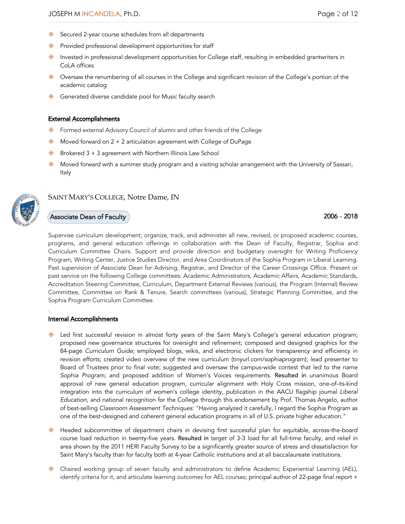- ♦ Secured 2-year course schedules from all departments
- $\diamondsuit$  Provided professional development opportunities for staff
- $\diamondsuit$  Invested in professional development opportunities for College staff, resulting in embedded grantwriters in CoLA offices
- $\diamondsuit$  Oversaw the renumbering of all courses in the College and significant revision of the College's portion of the academic catalog
- ♦ Generated diverse candidate pool for Music faculty search

### External Accomplishments

- ◆ Formed external Advisory Council of alumni and other friends of the College
- $\diamondsuit$  Moved forward on 2 + 2 articulation agreement with College of DuPage
- $\diamondsuit$  Brokered 3 + 3 agreement with Northern Illinois Law School
- $\diamond$  Moved forward with a summer study program and a visiting scholar arrangement with the University of Sassari, Italy



### SAINT MARY'S COLLEGE, Notre Dame, IN

### $\overline{\text{d}}$ Associate Dean of Faculty  $\overline{\text{d}}$

Supervise curriculum development; organize, track, and administer all new, revised, or proposed academic courses, programs, and general education offerings in collaboration with the Dean of Faculty, Registrar, Sophia and Curriculum Committee Chairs. Support and provide direction and budgetary oversight for Writing Proficiency Program, Writing Center, Justice Studies Director, and Area Coordinators of the Sophia Program in Liberal Learning. Past supervision of Associate Dean for Advising, Registrar, and Director of the Career Crossings Office. Present or past service on the following College committees: Academic Administrators, Academic Affairs, Academic Standards, Accreditation Steering Committee, Curriculum, Department External Reviews (various), the Program (Internal) Review Committee, Committee on Rank & Tenure, Search committees (various), Strategic Planning Committee, and the Sophia Program Curriculum Committee.

### Internal Accomplishments

- ♦ Led first successful revision in almost forty years of the Saint Mary's College's general education program; proposed new governance structures for oversight and refinement; composed and designed graphics for the 84-page *Curriculum Guide;* employed blogs, wikis, and electronic clickers for transparency and efficiency in revision efforts; created video overview of the new curriculum (tinyurl.com/sophiaprogram); lead presenter to Board of Trustees prior to final vote; suggested and oversaw the campus-wide contest that led to the name *Sophia Program;* and proposed addition of Women's Voices requirements. Resulted in unanimous Board approval of new general education program, curricular alignment with Holy Cross mission, one-of-its-kind integration into the curriculum of women's college identity, publication in the AACU flagship journal *Liberal Education,* and national recognition for the College through this endorsement by Prof. Thomas Angelo, author of best-selling *Classroom Assessment Techniques:* "Having analyzed it carefully, I regard the Sophia Program as one of the best-designed and coherent general education programs in all of U.S. private higher education."
- ♦ Headed subcommittee of department chairs in devising first successful plan for equitable, across-the-board course load reduction in twenty-five years. Resulted in target of 3-3 load for all full-time faculty, and relief in area shown by the 2011 HERI Faculty Survey to be a significantly greater source of stress and dissatisfaction for Saint Mary's faculty than for faculty both at 4-year Catholic institutions and at all baccalaureate institutions.
- ◆ Chaired working group of seven faculty and administrators to define Academic Experiential Learning (AEL), identify criteria for it, and articulate learning outcomes for AEL courses; principal author of 22-page final report +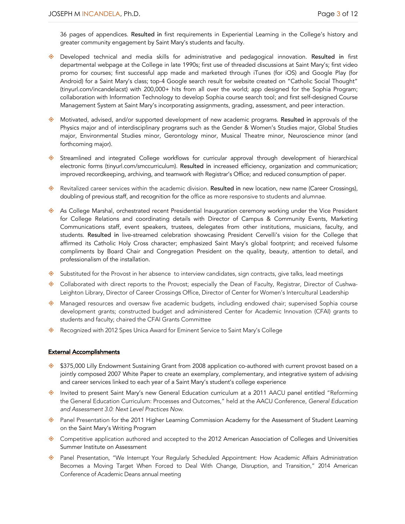36 pages of appendices. Resulted in first requirements in Experiential Learning in the College's history and greater community engagement by Saint Mary's students and faculty.

- ♦ Developed technical and media skills for administrative and pedagogical innovation. Resulted in first departmental webpage at the College in late 1990s; first use of threaded discussions at Saint Mary's; first video promo for courses; first successful app made and marketed through iTunes (for iOS) and Google Play (for Android) for a Saint Mary's class; top-4 Google search result for website created on "Catholic Social Thought" (tinyurl.com/incandelacst) with 200,000+ hits from all over the world; app designed for the Sophia Program; collaboration with Information Technology to develop Sophia course search tool; and first self-designed Course Management System at Saint Mary's incorporating assignments, grading, assessment, and peer interaction.
- $\diamond$  Motivated, advised, and/or supported development of new academic programs. Resulted in approvals of the Physics major and of interdisciplinary programs such as the Gender & Women's Studies major, Global Studies major, Environmental Studies minor, Gerontology minor, Musical Theatre minor, Neuroscience minor (and forthcoming major).
- ♦ Streamlined and integrated College workflows for curricular approval through development of hierarchical electronic forms (tinyurl.com/smccurriculum). Resulted in increased efficiency, organization and communication; improved recordkeeping, archiving, and teamwork with Registrar's Office; and reduced consumption of paper.
- ♦ Revitalized career services within the academic division. Resulted in new location, new name (Career Crossings), doubling of previous staff, and recognition for the office as more responsive to students and alumnae.
- ♦ As College Marshal, orchestrated recent Presidential Inauguration ceremony working under the Vice President for College Relations and coordinating details with Director of Campus & Community Events, Marketing Communications staff, event speakers, trustees, delegates from other institutions, musicians, faculty, and students. Resulted in live-streamed celebration showcasing President Cervelli's vision for the College that affirmed its Catholic Holy Cross character; emphasized Saint Mary's global footprint; and received fulsome compliments by Board Chair and Congregation President on the quality, beauty, attention to detail, and professionalism of the installation.
- $\diamondsuit$  Substituted for the Provost in her absence to interview candidates, sign contracts, give talks, lead meetings
- ♦ Collaborated with direct reports to the Provost; especially the Dean of Faculty, Registrar, Director of Cushwa-Leighton Library, Director of Career Crossings Office, Director of Center for Women's Intercultural Leadership
- $\Diamond$  Managed resources and oversaw five academic budgets, including endowed chair; supervised Sophia course development grants; constructed budget and administered Center for Academic Innovation (CFAI) grants to students and faculty; chaired the CFAI Grants Committee
- ♦ Recognized with 2012 Spes Unica Award for Eminent Service to Saint Mary's College

### External Accomplishments

- $\textcircled{*}$  \$375,000 Lilly Endowment Sustaining Grant from 2008 application co-authored with current provost based on a jointly composed 2007 White Paper to create an exemplary, complementary, and integrative system of advising and career services linked to each year of a Saint Mary's student's college experience
- ♦ Invited to present Saint Mary's new General Education curriculum at a 2011 AACU panel entitled "Reforming the General Education Curriculum: Processes and Outcomes," held at the AACU Conference, *General Education and Assessment 3.0: Next Level Practices Now.*
- ♦ Panel Presentation for the 2011 Higher Learning Commission Academy for the Assessment of Student Learning on the Saint Mary's Writing Program
- ♦ Competitive application authored and accepted to the 2012 American Association of Colleges and Universities Summer Institute on Assessment
- ◆ Panel Presentation, "We Interrupt Your Regularly Scheduled Appointment: How Academic Affairs Administration Becomes a Moving Target When Forced to Deal With Change, Disruption, and Transition," 2014 American Conference of Academic Deans annual meeting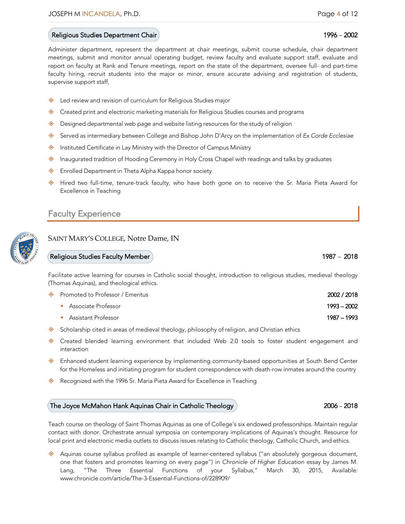### Religious Studies Department Chair 1996 – 2002 and 1996 – 2002 and 1996 – 2002

Administer department, represent the department at chair meetings, submit course schedule, chair department meetings, submit and monitor annual operating budget, review faculty and evaluate support staff, evaluate and report on faculty at Rank and Tenure meetings, report on the state of the department, oversee full- and part-time faculty hiring, recruit students into the major or minor, ensure accurate advising and registration of students, supervise support staff,

- ♦ Led review and revision of curriculum for Religious Studies major
- $\diamondsuit$  Created print and electronic marketing materials for Religious Studies courses and programs
- $\diamondsuit$  Designed departmental web page and website listing resources for the study of religion
- ± Served as intermediary between College and Bishop John D'Arcy on the implementation of *Ex Corde Ecclesiae*
- ♦ Instituted Certificate in Lay Ministry with the Director of Campus Ministry
- $\diamondsuit$  Inaugurated tradition of Hooding Ceremony in Holy Cross Chapel with readings and talks by graduates
- ♦ Enrolled Department in Theta Alpha Kappa honor society
- ♦ Hired two full-time, tenure-track faculty, who have both gone on to receive the Sr. Maria Pieta Award for Excellence in Teaching

### Faculty Experience

### SAINT MARY'S COLLEGE, Notre Dame, IN

### Religious Studies Faculty Member 1987 – 2018

Facilitate active learning for courses in Catholic social thought, introduction to religious studies, medieval theology (Thomas Aquinas), and theological ethics.

| ◈ Promoted to Professor / Emeritus | 2002 / 2018 |
|------------------------------------|-------------|
| Associate Professor                | 1993 – 2002 |
| Assistant Professor                | 1987 – 1993 |

- $\diamond$  Scholarship cited in areas of medieval theology, philosophy of religion, and Christian ethics
- ♦ Created blended learning environment that included Web 2.0 tools to foster student engagement and interaction
- $\Diamond$  Enhanced student learning experience by implementing community-based opportunities at South Bend Center for the Homeless and initiating program for student correspondence with death-row inmates around the country
- ♦ Recognized with the 1996 Sr. Maria Pieta Award for Excellence in Teaching

### The Joyce McMahon Hank Aquinas Chair in Catholic Theology  $\rangle$   $2006-2018$

Teach course on theology of Saint Thomas Aquinas as one of College's six endowed professorships. Maintain regular contact with donor. Orchestrate annual symposia on contemporary implications of Aquinas's thought. Resource for local print and electronic media outlets to discuss issues relating to Catholic theology, Catholic Church, and ethics.

◆ Aquinas course syllabus profiled as example of learner-centered syllabus ("an absolutely gorgeous document, one that fosters and promotes learning on every page") in *Chronicle of Higher Education* essay by James M. Lang, "The Three Essential Functions of your Syllabus," March 30, 2015, Available: www.chronicle.com/article/The-3-Essential-Functions-of/228909/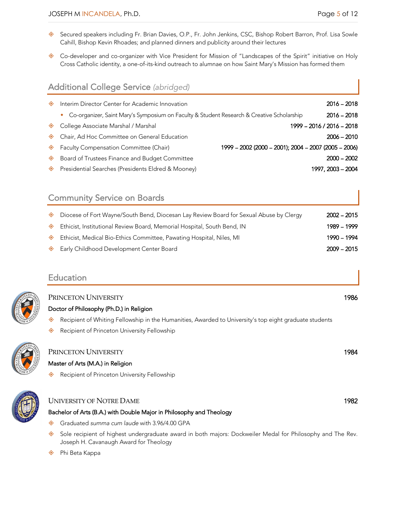- ◆ Secured speakers including Fr. Brian Davies, O.P., Fr. John Jenkins, CSC, Bishop Robert Barron, Prof. Lisa Sowle Cahill, Bishop Kevin Rhoades; and planned dinners and publicity around their lectures
- ◆ Co-developer and co-organizer with Vice President for Mission of "Landscapes of the Spirit" initiative on Holy Cross Catholic identity, a one-of-its-kind outreach to alumnae on how Saint Mary's Mission has formed them

### Additional College Service *(abridged)*

| ◈ | Interim Director Center for Academic Innovation                                             |                                                      | $2016 - 2018$             |
|---|---------------------------------------------------------------------------------------------|------------------------------------------------------|---------------------------|
|   | • Co-organizer, Saint Mary's Symposium on Faculty & Student Research & Creative Scholarship |                                                      | $2016 - 2018$             |
|   | ♦ College Associate Marshal / Marshal                                                       |                                                      | 1999 - 2016 / 2016 - 2018 |
|   | ♦ Chair, Ad Hoc Committee on General Education                                              |                                                      | $2006 - 2010$             |
|   | ♦ Faculty Compensation Committee (Chair)                                                    | 1999 - 2002 (2000 - 2001); 2004 - 2007 (2005 - 2006) |                           |
| ◈ | Board of Trustees Finance and Budget Committee                                              |                                                      | $2000 - 2002$             |
|   | ♦ Presidential Searches (Presidents Eldred & Mooney)                                        |                                                      | 1997, 2003 - 2004         |

### Community Service on Boards

| ◈ | Diocese of Fort Wayne/South Bend, Diocesan Lay Review Board for Sexual Abuse by Clergy | $2002 - 2015$ |
|---|----------------------------------------------------------------------------------------|---------------|
| ◈ | Ethicist, Institutional Review Board, Memorial Hospital, South Bend, IN                | 1989 - 1999   |
| ◈ | Ethicist, Medical Bio-Ethics Committee, Pawating Hospital, Niles, MI                   | 1990 – 1994   |
|   | Early Childhood Development Center Board                                               | $2009 - 2015$ |

PRINCETON UNIVERSITY 1986

### Education

### Doctor of Philosophy (Ph.D.) in Religion

- ◆ Recipient of Whiting Fellowship in the Humanities, Awarded to University's top eight graduate students
- ♦ Recipient of Princeton University Fellowship



## PRINCETON UNIVERSITY 1984

### Master of Arts (M.A.) in Religion

♦ Recipient of Princeton University Fellowship

# UNIVERSITY OF NOTRE DAME 2008 2009 1982

- Bachelor of Arts (B.A.) with Double Major in Philosophy and Theology
- ± Graduated *summa cum laude* with 3.96/4.00 GPA
- ♦ Sole recipient of highest undergraduate award in both majors: Dockweiler Medal for Philosophy and The Rev. Joseph H. Cavanaugh Award for Theology

◆ Phi Beta Kappa

- 
-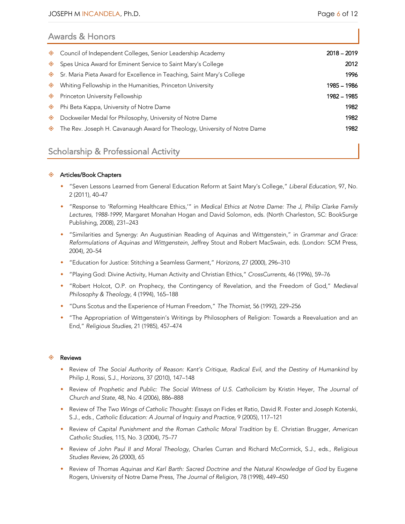| <b>Awards &amp; Honors</b>                                                     |               |  |  |  |
|--------------------------------------------------------------------------------|---------------|--|--|--|
| Council of Independent Colleges, Senior Leadership Academy<br>◈                | $2018 - 2019$ |  |  |  |
| Spes Unica Award for Eminent Service to Saint Mary's College<br>◈              | 2012          |  |  |  |
| Sr. Maria Pieta Award for Excellence in Teaching, Saint Mary's College<br>◈    | 1996          |  |  |  |
| Whiting Fellowship in the Humanities, Princeton University<br>◈                | 1985 - 1986   |  |  |  |
| Princeton University Fellowship<br>◈                                           | 1982 - 1985   |  |  |  |
| Phi Beta Kappa, University of Notre Dame<br>◈                                  | 1982          |  |  |  |
| Dockweiler Medal for Philosophy, University of Notre Dame<br>◈                 | 1982          |  |  |  |
| The Rev. Joseph H. Cavanaugh Award for Theology, University of Notre Dame<br>◈ | 1982          |  |  |  |
|                                                                                |               |  |  |  |

### Scholarship & Professional Activity

### ◆ Articles/Book Chapters

- w "Seven Lessons Learned from General Education Reform at Saint Mary's College," *Liberal Education,* 97, No. 2 (2011), 40–47
- w "Response to 'Reforming Healthcare Ethics,'" in *Medical Ethics at Notre Dame: The J, Philip Clarke Family Lectures, 1988-1999,* Margaret Monahan Hogan and David Solomon, eds. (North Charleston, SC: BookSurge Publishing, 2008), 231–243
- w "Similarities and Synergy: An Augustinian Reading of Aquinas and Wittgenstein," in *Grammar and Grace: Reformulations of Aquinas and Wittgenstein,* Jeffrey Stout and Robert MacSwain, eds. (London: SCM Press, 2004), 20–54
- w "Education for Justice: Stitching a Seamless Garment," *Horizons,* 27 (2000), 296–310
- w "Playing God: Divine Activity, Human Activity and Christian Ethics," *CrossCurrents,* 46 (1996), 59–76
- w "Robert Holcot, O.P. on Prophecy, the Contingency of Revelation, and the Freedom of God," *Medieval Philosophy & Theology,* 4 (1994), 165–188
- w "Duns Scotus and the Experience of Human Freedom," *The Thomist,* 56 (1992), 229–256
- w "The Appropriation of Wittgenstein's Writings by Philosophers of Religion: Towards a Reevaluation and an End," *Religious Studies,* 21 (1985), 457–474

### ♦ Reviews

- w Review of *The Social Authority of Reason: Kant's Critique, Radical Evil, and the Destiny of Humankind* by Philip J, Rossi, S.J., *Horizons,* 37 (2010), 147–148
- w Review of *Prophetic and Public: The Social Witness of U.S. Catholicism* by Kristin Heyer, *The Journal of Church and State,* 48, No. 4 (2006), 886–888
- w Review of *The Two Wings of Catholic Thought: Essays on* Fides et Ratio, David R. Foster and Joseph Koterski, S.J., eds., *Catholic Education: A Journal of Inquiry and Practice,* 9 (2005), 117–121
- w Review of *Capital Punishment and the Roman Catholic Moral Tradition* by E. Christian Brugger, *American Catholic Studies,* 115, No. 3 (2004), 75–77
- w Review of *John Paul II and Moral Theology,* Charles Curran and Richard McCormick, S.J., eds., *Religious Studies Review,* 26 (2000), 65
- w Review of *Thomas Aquinas and Karl Barth: Sacred Doctrine and the Natural Knowledge of God* by Eugene Rogers, University of Notre Dame Press, *The Journal of Religion,* 78 (1998), 449–450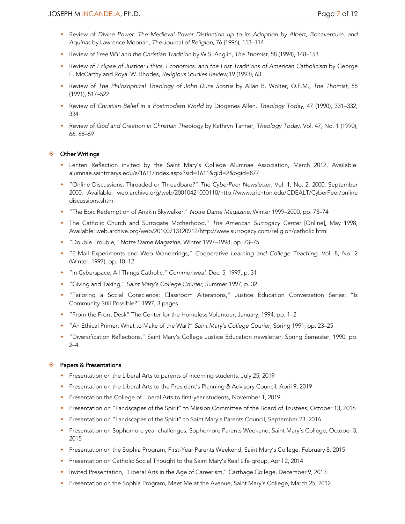- w Review of *Divine Power: The Medieval Power Distinction up to its Adoption by Albert, Bonaventure, and Aquinas* by Lawrence Moonan, *The Journal of Religion,* 76 (1996), 113–114
- w Review *of Free Will and the Christian Tradition* by W.S. Anglin, *The Thomist,* 58 (1994), 148–153
- w Review of *Eclipse of Justice: Ethics, Economics, and the Lost Traditions of American Catholicism* by George E. McCarthy and Royal W. Rhodes, *Religious Studies Review,*19 (1993), 63
- w Review of *The Philosophical Theology of John Duns Scotus* by Allan B. Wolter, O.F.M., *The Thomist,* 55 (1991), 517–522
- w Review of *Christian Belief in a Postmodern World* by Diogenes Allen*, Theology Today,* 47 (1990), 331–332, 334
- w Review of *God and Creation in Christian Theology* by Kathryn Tanner, *Theology Today,* Vol. 47, No. 1 (1990), 66, 68–69

### ♦ Other Writings

- w Lenten Reflection invited by the Saint Mary's College Alumnae Association, March 2012, Available: alumnae.saintmarys.edu/s/1611/index.aspx?sid=1611&gid=2&pgid=877
- w "Online Discussions: Threaded or Threadbare?" *The CyberPeer Newsletter,* Vol. 1, No. 2, 2000, September 2000, Available: web.archive.org/web/20010421000110/http://www.crichton.edu/CDEALT/CyberPeer/online discussions.shtml
- w "The Epic Redemption of Anakin Skywalker," *Notre Dame Magazine,* Winter 1999–2000, pp. 73–74
- w The Catholic Church and Surrogate Motherhood," *The American Surrogacy Center* [Online], May 1998, Available: web.archive.org/web/20100713120912/http://www.surrogacy.com/religion/catholic.html
- w "Double Trouble*," Notre Dame Magazine,* Winter 1997–1998, pp. 73–75
- w "E-Mail Experiments and Web Wanderings," *Cooperative Learning and College Teaching,* Vol. 8, No. 2 (Winter, 1997), pp. 10–12
- w "In Cyberspace, All Things Catholic," *Commonweal,* Dec. 5, 1997, p. 31
- w "Giving and Taking," *Saint Mary's College Courier,* Summer 1997, p. 32
- w "Tailoring a Social Conscience: Classroom Alterations," Justice Education Conversation Series: "Is Community Still Possible?" 1997, 3 pages
- ◆ "From the Front Desk" The Center for the Homeless Volunteer, January, 1994, pp. 1–2
- \* "An Ethical Primer: What to Make of the War?" Saint Mary's College Courier, Spring 1991, pp. 23-25
- w "Diversification Reflections," Saint Mary's College Justice Education newsletter, Spring Semester, 1990, pp. 2–4

### $\diamondsuit$  Papers & Presentations

- Presentation on the Liberal Arts to parents of incoming students, July 25, 2019
- w Presentation on the Liberal Arts to the President's Planning & Advisory Council, April 9, 2019
- w Presentation the College of Liberal Arts to first-year students, November 1, 2019
- w Presentation on "Landscapes of the Spirit" to Mission Committee of the Board of Trustees, October 13, 2016
- w Presentation on "Landscapes of the Spirit" to Saint Mary's Parents Council, September 23, 2016
- w Presentation on Sophomore year challenges, Sophomore Parents Weekend, Saint Mary's College, October 3, 2015
- w Presentation on the Sophia Program, First-Year Parents Weekend, Saint Mary's College, February 8, 2015
- **•** Presentation on Catholic Social Thought to the Saint Mary's Real Life group, April 2, 2014
- w Invited Presentation, "Liberal Arts in the Age of Careerism," Carthage College, December 9, 2013
- w Presentation on the Sophia Program, Meet Me at the Avenue, Saint Mary's College, March 25, 2012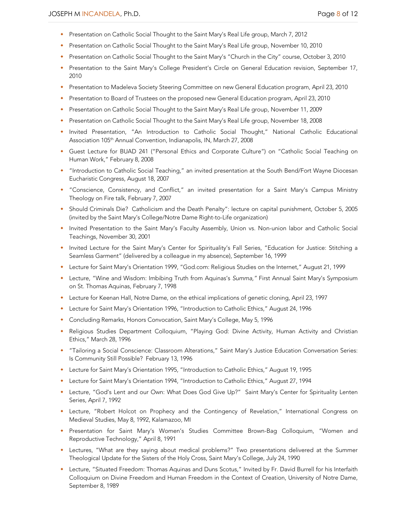- **•** Presentation on Catholic Social Thought to the Saint Mary's Real Life group, March 7, 2012
- w Presentation on Catholic Social Thought to the Saint Mary's Real Life group, November 10, 2010
- w Presentation on Catholic Social Thought to the Saint Mary's "Church in the City" course, October 3, 2010
- w Presentation to the Saint Mary's College President's Circle on General Education revision, September 17, 2010
- w Presentation to Madeleva Society Steering Committee on new General Education program, April 23, 2010
- w Presentation to Board of Trustees on the proposed new General Education program, April 23, 2010
- w Presentation on Catholic Social Thought to the Saint Mary's Real Life group, November 11, 2009
- w Presentation on Catholic Social Thought to the Saint Mary's Real Life group, November 18, 2008
- w Invited Presentation, "An Introduction to Catholic Social Thought," National Catholic Educational Association 105<sup>th</sup> Annual Convention, Indianapolis, IN, March 27, 2008
- w Guest Lecture for BUAD 241 ("Personal Ethics and Corporate Culture") on "Catholic Social Teaching on Human Work," February 8, 2008
- w "Introduction to Catholic Social Teaching," an invited presentation at the South Bend/Fort Wayne Diocesan Eucharistic Congress, August 18, 2007
- w "Conscience, Consistency, and Conflict," an invited presentation for a Saint Mary's Campus Ministry Theology on Fire talk, February 7, 2007
- w Should Criminals Die? Catholicism and the Death Penalty": lecture on capital punishment, October 5, 2005 (invited by the Saint Mary's College/Notre Dame Right-to-Life organization)
- w Invited Presentation to the Saint Mary's Faculty Assembly, Union vs. Non-union labor and Catholic Social Teachings, November 30, 2001
- w Invited Lecture for the Saint Mary's Center for Spirituality's Fall Series, "Education for Justice: Stitching a Seamless Garment" (delivered by a colleague in my absence), September 16, 1999
- w Lecture for Saint Mary's Orientation 1999, "God.com: Religious Studies on the Internet," August 21, 1999
- w Lecture, "Wine and Wisdom: Imbibing Truth from Aquinas's *Summa,"* First Annual Saint Mary's Symposium on St. Thomas Aquinas, February 7, 1998
- w Lecture for Keenan Hall, Notre Dame, on the ethical implications of genetic cloning, April 23, 1997
- w Lecture for Saint Mary's Orientation 1996, "Introduction to Catholic Ethics," August 24, 1996
- Concluding Remarks, Honors Convocation, Saint Mary's College, May 5, 1996
- Religious Studies Department Colloquium, "Playing God: Divine Activity, Human Activity and Christian Ethics," March 28, 1996
- w "Tailoring a Social Conscience: Classroom Alterations," Saint Mary's Justice Education Conversation Series: Is Community Still Possible? February 13, 1996
- w Lecture for Saint Mary's Orientation 1995, "Introduction to Catholic Ethics," August 19, 1995
- w Lecture for Saint Mary's Orientation 1994, "Introduction to Catholic Ethics," August 27, 1994
- \* Lecture, "God's Lent and our Own: What Does God Give Up?" Saint Mary's Center for Spirituality Lenten Series, April 7, 1992
- w Lecture, "Robert Holcot on Prophecy and the Contingency of Revelation," International Congress on Medieval Studies, May 8, 1992, Kalamazoo, MI
- w Presentation for Saint Mary's Women's Studies Committee Brown-Bag Colloquium, "Women and Reproductive Technology," April 8, 1991
- w Lectures, "What are they saying about medical problems?" Two presentations delivered at the Summer Theological Update for the Sisters of the Holy Cross, Saint Mary's College, July 24, 1990
- w Lecture, "Situated Freedom: Thomas Aquinas and Duns Scotus," Invited by Fr. David Burrell for his Interfaith Colloquium on Divine Freedom and Human Freedom in the Context of Creation, University of Notre Dame, September 8, 1989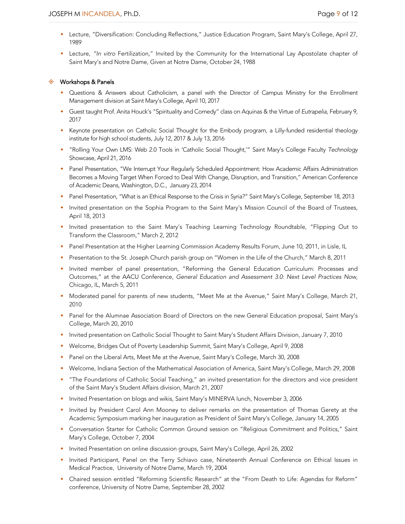- w Lecture, "Diversification: Concluding Reflections," Justice Education Program, Saint Mary's College, April 27, 1989
- w Lecture, *"In vitro* Fertilization," Invited by the Community for the International Lay Apostolate chapter of Saint Mary's and Notre Dame, Given at Notre Dame, October 24, 1988

### $\diamond$  Workshops & Panels

- Questions & Answers about Catholicism, a panel with the Director of Campus Ministry for the Enrollment Management division at Saint Mary's College, April 10, 2017
- w Guest taught Prof. Anita Houck's "Spirituality and Comedy" class on Aquinas & the Virtue of *Eutrapelia,* February 9, 2017
- w Keynote presentation on Catholic Social Thought for the Embody program, a Lilly-funded residential theology institute for high school students, July 12, 2017 & July 13, 2016
- w "Rolling Your Own LMS: Web 2.0 Tools in 'Catholic Social Thought,'" Saint Mary's College Faculty *Technology* Showcase, April 21, 2016
- w Panel Presentation, "We Interrupt Your Regularly Scheduled Appointment: How Academic Affairs Administration Becomes a Moving Target When Forced to Deal With Change, Disruption, and Transition," American Conference of Academic Deans, Washington, D.C., January 23, 2014
- w Panel Presentation, "What is an Ethical Response to the Crisis in Syria?" Saint Mary's College, September 18, 2013
- Invited presentation on the Sophia Program to the Saint Mary's Mission Council of the Board of Trustees, April 18, 2013
- w Invited presentation to the Saint Mary's Teaching Learning Technology Roundtable, "Flipping Out to Transform the Classroom," March 2, 2012
- w Panel Presentation at the Higher Learning Commission Academy Results Forum, June 10, 2011, in Lisle, IL
- \* Presentation to the St. Joseph Church parish group on "Women in the Life of the Church," March 8, 2011
- w Invited member of panel presentation, "Reforming the General Education Curriculum: Processes and Outcomes," at the AACU Conference, *General Education and Assessment 3.0: Next Level Practices Now,* Chicago, IL, March 5, 2011
- Moderated panel for parents of new students, "Meet Me at the Avenue," Saint Mary's College, March 21, 2010
- w Panel for the Alumnae Association Board of Directors on the new General Education proposal, Saint Mary's College, March 20, 2010
- w Invited presentation on Catholic Social Thought to Saint Mary's Student Affairs Division, January 7, 2010
- w Welcome, Bridges Out of Poverty Leadership Summit, Saint Mary's College, April 9, 2008
- w Panel on the Liberal Arts, Meet Me at the Avenue, Saint Mary's College, March 30, 2008
- w Welcome, Indiana Section of the Mathematical Association of America, Saint Mary's College, March 29, 2008
- w "The Foundations of Catholic Social Teaching," an invited presentation for the directors and vice president of the Saint Mary's Student Affairs division, March 21, 2007
- \* Invited Presentation on blogs and wikis, Saint Mary's MINERVA lunch, November 3, 2006
- \* Invited by President Carol Ann Mooney to deliver remarks on the presentation of Thomas Gerety at the Academic Symposium marking her inauguration as President of Saint Mary's College, January 14, 2005
- w Conversation Starter for Catholic Common Ground session on "Religious Commitment and Politics," Saint Mary's College, October 7, 2004
- w Invited Presentation on online discussion groups, Saint Mary's College, April 26, 2002
- w Invited Participant, Panel on the Terry Schiavo case, Nineteenth Annual Conference on Ethical Issues in Medical Practice, University of Notre Dame, March 19, 2004
- w Chaired session entitled "Reforming Scientific Research" at the "From Death to Life: Agendas for Reform" conference, University of Notre Dame, September 28, 2002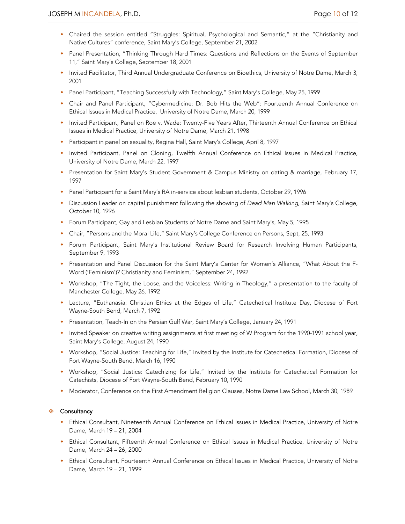- w Chaired the session entitled "Struggles: Spiritual, Psychological and Semantic," at the "Christianity and Native Cultures" conference, Saint Mary's College, September 21, 2002
- \* Panel Presentation, "Thinking Through Hard Times: Questions and Reflections on the Events of September 11," Saint Mary's College, September 18, 2001
- w Invited Facilitator, Third Annual Undergraduate Conference on Bioethics, University of Notre Dame, March 3, 2001
- w Panel Participant, "Teaching Successfully with Technology," Saint Mary's College, May 25, 1999
- w Chair and Panel Participant, "Cybermedicine: Dr. Bob Hits the Web": Fourteenth Annual Conference on Ethical Issues in Medical Practice, University of Notre Dame, March 20, 1999
- w Invited Participant, Panel on Roe v. Wade: Twenty-Five Years After, Thirteenth Annual Conference on Ethical Issues in Medical Practice, University of Notre Dame, March 21, 1998
- **•** Participant in panel on sexuality, Regina Hall, Saint Mary's College, April 8, 1997
- w Invited Participant, Panel on Cloning, Twelfth Annual Conference on Ethical Issues in Medical Practice, University of Notre Dame, March 22, 1997
- w Presentation for Saint Mary's Student Government & Campus Ministry on dating & marriage, February 17, 1997
- \* Panel Participant for a Saint Mary's RA in-service about lesbian students, October 29, 1996
- w Discussion Leader on capital punishment following the showing of *Dead Man Walking,* Saint Mary's College, October 10, 1996
- w Forum Participant, Gay and Lesbian Students of Notre Dame and Saint Mary's, May 5, 1995
- w Chair, "Persons and the Moral Life," Saint Mary's College Conference on Persons, Sept, 25, 1993
- w Forum Participant, Saint Mary's Institutional Review Board for Research Involving Human Participants, September 9, 1993
- w Presentation and Panel Discussion for the Saint Mary's Center for Women's Alliance, "What About the F-Word ('Feminism')? Christianity and Feminism," September 24, 1992
- \* Workshop, "The Tight, the Loose, and the Voiceless: Writing in Theology," a presentation to the faculty of Manchester College, May 26, 1992
- w Lecture, "Euthanasia: Christian Ethics at the Edges of Life," Catechetical Institute Day, Diocese of Fort Wayne-South Bend, March 7, 1992
- w Presentation, Teach-In on the Persian Gulf War, Saint Mary's College, January 24, 1991
- Invited Speaker on creative writing assignments at first meeting of W Program for the 1990-1991 school year, Saint Mary's College, August 24, 1990
- Workshop, "Social Justice: Teaching for Life," Invited by the Institute for Catechetical Formation, Diocese of Fort Wayne-South Bend, March 16, 1990
- w Workshop, "Social Justice: Catechizing for Life," Invited by the Institute for Catechetical Formation for Catechists, Diocese of Fort Wayne-South Bend, February 10, 1990
- \* Moderator, Conference on the First Amendment Religion Clauses, Notre Dame Law School, March 30, 1989

### ♦ Consultancy

- w Ethical Consultant, Nineteenth Annual Conference on Ethical Issues in Medical Practice, University of Notre Dame, March 19 – 21, 2004
- w Ethical Consultant, Fifteenth Annual Conference on Ethical Issues in Medical Practice, University of Notre Dame, March 24 – 26, 2000
- w Ethical Consultant, Fourteenth Annual Conference on Ethical Issues in Medical Practice, University of Notre Dame, March 19 – 21, 1999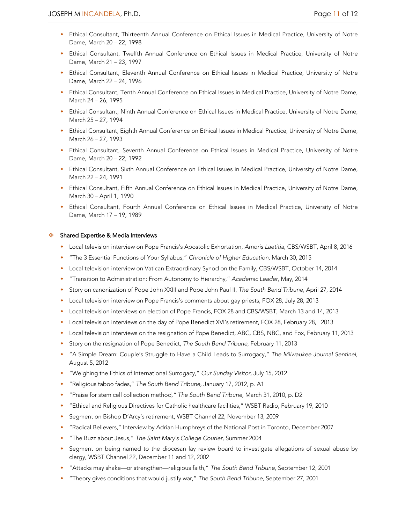- Ethical Consultant, Thirteenth Annual Conference on Ethical Issues in Medical Practice, University of Notre Dame, March 20 – 22, 1998
- w Ethical Consultant, Twelfth Annual Conference on Ethical Issues in Medical Practice, University of Notre Dame, March 21 – 23, 1997
- w Ethical Consultant, Eleventh Annual Conference on Ethical Issues in Medical Practice, University of Notre Dame, March 22 – 24, 1996
- w Ethical Consultant, Tenth Annual Conference on Ethical Issues in Medical Practice, University of Notre Dame, March 24 – 26, 1995
- w Ethical Consultant, Ninth Annual Conference on Ethical Issues in Medical Practice, University of Notre Dame, March 25 – 27, 1994
- w Ethical Consultant, Eighth Annual Conference on Ethical Issues in Medical Practice, University of Notre Dame, March 26 – 27, 1993
- w Ethical Consultant, Seventh Annual Conference on Ethical Issues in Medical Practice, University of Notre Dame, March 20 – 22, 1992
- w Ethical Consultant, Sixth Annual Conference on Ethical Issues in Medical Practice, University of Notre Dame, March 22 – 24, 1991
- w Ethical Consultant, Fifth Annual Conference on Ethical Issues in Medical Practice, University of Notre Dame, March 30 – April 1, 1990
- w Ethical Consultant, Fourth Annual Conference on Ethical Issues in Medical Practice, University of Notre Dame, March 17 – 19, 1989

### $\diamondsuit$  Shared Expertise & Media Interviews

- w Local television interview on Pope Francis's Apostolic Exhortation, *Amoris Laetitia*, CBS/WSBT, April 8, 2016
- w "The 3 Essential Functions of Your Syllabus," *Chronicle of Higher Education,* March 30, 2015
- \* Local television interview on Vatican Extraordinary Synod on the Family, CBS/WSBT, October 14, 2014
- w "Transition to Administration: From Autonomy to Hierarchy," *Academic Leader,* May, 2014
- w Story on canonization of Pope John XXIII and Pope John Paul II, *The South Bend Tribune,* April 27, 2014
- w Local television interview on Pope Francis's comments about gay priests, FOX 28, July 28, 2013
- w Local television interviews on election of Pope Francis, FOX 28 and CBS/WSBT, March 13 and 14, 2013
- w Local television interviews on the day of Pope Benedict XVI's retirement, FOX 28, February 28, 2013
- w Local television interviews on the resignation of Pope Benedict, ABC, CBS, NBC, and Fox, February 11, 2013
- w Story on the resignation of Pope Benedict, *The South Bend Tribune,* February 11, 2013
- w "A Simple Dream: Couple's Struggle to Have a Child Leads to Surrogacy," *The Milwaukee Journal Sentinel,*  August 5, 2012
- w "Weighing the Ethics of International Surrogacy," *Our Sunday Visitor,* July 15, 2012
- w "Religious taboo fades," *The South Bend Tribune,* January 17, 2012, p. A1
- w "Praise for stem cell collection method*," The South Bend Tribune,* March 31, 2010, p. D2
- w "Ethical and Religious Directives for Catholic healthcare facilities," WSBT Radio, February 19, 2010
- w Segment on Bishop D'Arcy's retirement, WSBT Channel 22, November 13, 2009
- w "Radical Believers," Interview by Adrian Humphreys of the National Post in Toronto, December 2007
- w "The Buzz about Jesus," *The Saint Mary's College Courier,* Summer 2004
- Segment on being named to the diocesan lay review board to investigate allegations of sexual abuse by clergy, WSBT Channel 22, December 11 and 12, 2002
- w "Attacks may shake—or strengthen—religious faith," *The South Bend Tribune,* September 12, 2001
- w "Theory gives conditions that would justify war," *The South Bend Tribune,* September 27, 2001